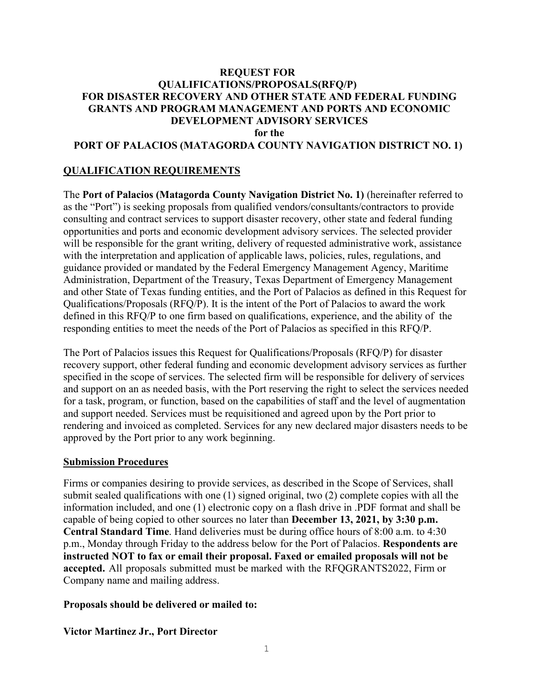#### **REQUEST FOR QUALIFICATIONS/PROPOSALS(RFQ/P) FOR DISASTER RECOVERY AND OTHER STATE AND FEDERAL FUNDING GRANTS AND PROGRAM MANAGEMENT AND PORTS AND ECONOMIC DEVELOPMENT ADVISORY SERVICES for the PORT OF PALACIOS (MATAGORDA COUNTY NAVIGATION DISTRICT NO. 1)**

## **QUALIFICATION REQUIREMENTS**

The **Port of Palacios (Matagorda County Navigation District No. 1)** (hereinafter referred to as the "Port") is seeking proposals from qualified vendors/consultants/contractors to provide consulting and contract services to support disaster recovery, other state and federal funding opportunities and ports and economic development advisory services. The selected provider will be responsible for the grant writing, delivery of requested administrative work, assistance with the interpretation and application of applicable laws, policies, rules, regulations, and guidance provided or mandated by the Federal Emergency Management Agency, Maritime Administration, Department of the Treasury, Texas Department of Emergency Management and other State of Texas funding entities, and the Port of Palacios as defined in this Request for Qualifications/Proposals (RFQ/P). It is the intent of the Port of Palacios to award the work defined in this RFQ/P to one firm based on qualifications, experience, and the ability of the responding entities to meet the needs of the Port of Palacios as specified in this RFQ/P.

The Port of Palacios issues this Request for Qualifications/Proposals (RFQ/P) for disaster recovery support, other federal funding and economic development advisory services as further specified in the scope of services. The selected firm will be responsible for delivery of services and support on an as needed basis, with the Port reserving the right to select the services needed for a task, program, or function, based on the capabilities of staff and the level of augmentation and support needed. Services must be requisitioned and agreed upon by the Port prior to rendering and invoiced as completed. Services for any new declared major disasters needs to be approved by the Port prior to any work beginning.

#### **Submission Procedures**

Firms or companies desiring to provide services, as described in the Scope of Services, shall submit sealed qualifications with one (1) signed original, two (2) complete copies with all the information included, and one (1) electronic copy on a flash drive in .PDF format and shall be capable of being copied to other sources no later than **December 13, 2021, by 3:30 p.m. Central Standard Time**. Hand deliveries must be during office hours of 8:00 a.m. to 4:30 p.m., Monday through Friday to the address below for the Port of Palacios. **Respondents are instructed NOT to fax or email their proposal. Faxed or emailed proposals will not be accepted.** All proposals submitted must be marked with the RFQGRANTS2022, Firm or Company name and mailing address.

#### **Proposals should be delivered or mailed to:**

#### **Victor Martinez Jr., Port Director**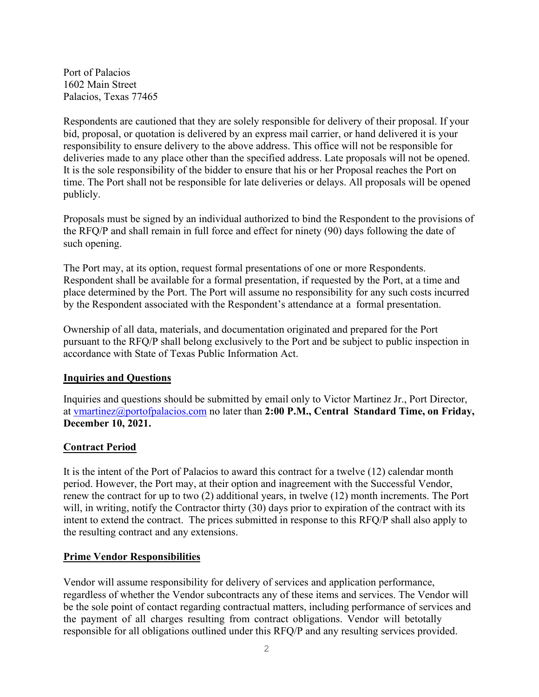Port of Palacios 1602 Main Street Palacios, Texas 77465

Respondents are cautioned that they are solely responsible for delivery of their proposal. If your bid, proposal, or quotation is delivered by an express mail carrier, or hand delivered it is your responsibility to ensure delivery to the above address. This office will not be responsible for deliveries made to any place other than the specified address. Late proposals will not be opened. It is the sole responsibility of the bidder to ensure that his or her Proposal reaches the Port on time. The Port shall not be responsible for late deliveries or delays. All proposals will be opened publicly.

Proposals must be signed by an individual authorized to bind the Respondent to the provisions of the RFQ/P and shall remain in full force and effect for ninety (90) days following the date of such opening.

The Port may, at its option, request formal presentations of one or more Respondents. Respondent shall be available for a formal presentation, if requested by the Port, at a time and place determined by the Port. The Port will assume no responsibility for any such costs incurred by the Respondent associated with the Respondent's attendance at a formal presentation.

Ownership of all data, materials, and documentation originated and prepared for the Port pursuant to the RFQ/P shall belong exclusively to the Port and be subject to public inspection in accordance with State of Texas Public Information Act.

#### **Inquiries and Questions**

Inquiries and questions should be submitted by email only to Victor Martinez Jr., Port Director, at vmartinez@portofpalacios.com no later than **2:00 P.M., Central Standard Time, on Friday, December 10, 2021.**

## **Contract Period**

It is the intent of the Port of Palacios to award this contract for a twelve (12) calendar month period. However, the Port may, at their option and inagreement with the Successful Vendor, renew the contract for up to two (2) additional years, in twelve (12) month increments. The Port will, in writing, notify the Contractor thirty (30) days prior to expiration of the contract with its intent to extend the contract. The prices submitted in response to this RFQ/P shall also apply to the resulting contract and any extensions.

#### **Prime Vendor Responsibilities**

Vendor will assume responsibility for delivery of services and application performance, regardless of whether the Vendor subcontracts any of these items and services. The Vendor will be the sole point of contact regarding contractual matters, including performance of services and the payment of all charges resulting from contract obligations. Vendor will betotally responsible for all obligations outlined under this RFQ/P and any resulting services provided.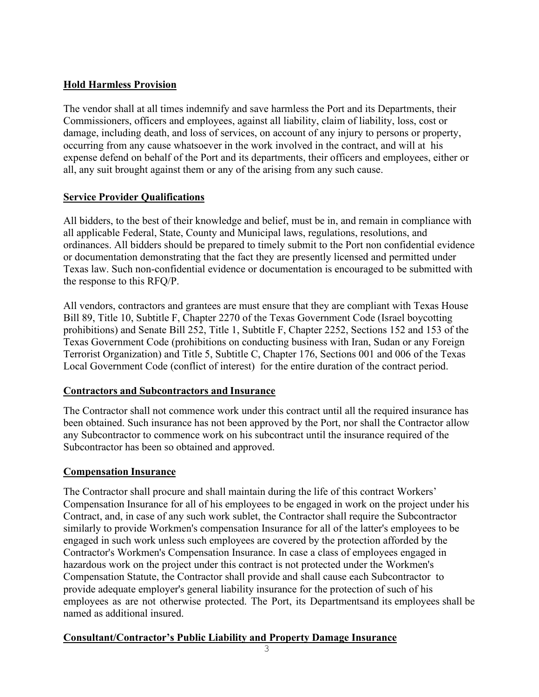# **Hold Harmless Provision**

The vendor shall at all times indemnify and save harmless the Port and its Departments, their Commissioners, officers and employees, against all liability, claim of liability, loss, cost or damage, including death, and loss of services, on account of any injury to persons or property, occurring from any cause whatsoever in the work involved in the contract, and will at his expense defend on behalf of the Port and its departments, their officers and employees, either or all, any suit brought against them or any of the arising from any such cause.

# **Service Provider Qualifications**

All bidders, to the best of their knowledge and belief, must be in, and remain in compliance with all applicable Federal, State, County and Municipal laws, regulations, resolutions, and ordinances. All bidders should be prepared to timely submit to the Port non confidential evidence or documentation demonstrating that the fact they are presently licensed and permitted under Texas law. Such non-confidential evidence or documentation is encouraged to be submitted with the response to this RFQ/P.

All vendors, contractors and grantees are must ensure that they are compliant with Texas House Bill 89, Title 10, Subtitle F, Chapter 2270 of the Texas Government Code (Israel boycotting prohibitions) and Senate Bill 252, Title 1, Subtitle F, Chapter 2252, Sections 152 and 153 of the Texas Government Code (prohibitions on conducting business with Iran, Sudan or any Foreign Terrorist Organization) and Title 5, Subtitle C, Chapter 176, Sections 001 and 006 of the Texas Local Government Code (conflict of interest) for the entire duration of the contract period.

## **Contractors and Subcontractors and Insurance**

The Contractor shall not commence work under this contract until all the required insurance has been obtained. Such insurance has not been approved by the Port, nor shall the Contractor allow any Subcontractor to commence work on his subcontract until the insurance required of the Subcontractor has been so obtained and approved.

## **Compensation Insurance**

The Contractor shall procure and shall maintain during the life of this contract Workers' Compensation Insurance for all of his employees to be engaged in work on the project under his Contract, and, in case of any such work sublet, the Contractor shall require the Subcontractor similarly to provide Workmen's compensation Insurance for all of the latter's employees to be engaged in such work unless such employees are covered by the protection afforded by the Contractor's Workmen's Compensation Insurance. In case a class of employees engaged in hazardous work on the project under this contract is not protected under the Workmen's Compensation Statute, the Contractor shall provide and shall cause each Subcontractor to provide adequate employer's general liability insurance for the protection of such of his employees as are not otherwise protected. The Port, its Departmentsand its employees shall be named as additional insured.

# **Consultant/Contractor's Public Liability and Property Damage Insurance**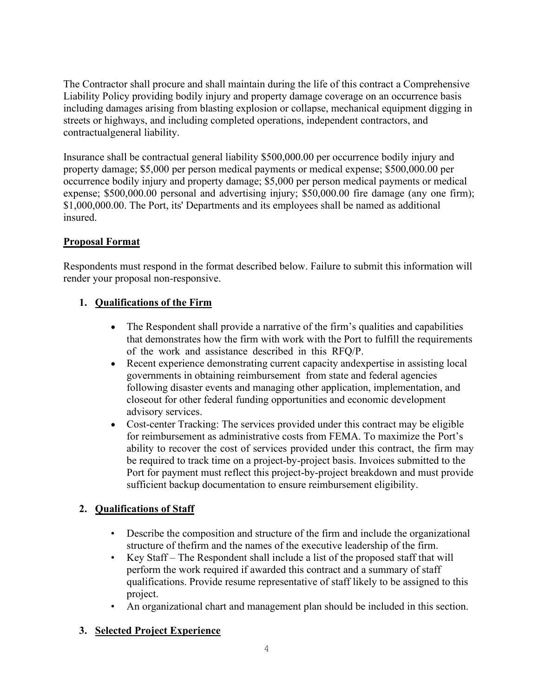The Contractor shall procure and shall maintain during the life of this contract a Comprehensive Liability Policy providing bodily injury and property damage coverage on an occurrence basis including damages arising from blasting explosion or collapse, mechanical equipment digging in streets or highways, and including completed operations, independent contractors, and contractualgeneral liability.

Insurance shall be contractual general liability \$500,000.00 per occurrence bodily injury and property damage; \$5,000 per person medical payments or medical expense; \$500,000.00 per occurrence bodily injury and property damage; \$5,000 per person medical payments or medical expense; \$500,000.00 personal and advertising injury; \$50,000.00 fire damage (any one firm); \$1,000,000.00. The Port, its' Departments and its employees shall be named as additional insured.

# **Proposal Format**

Respondents must respond in the format described below. Failure to submit this information will render your proposal non-responsive.

# **1. Qualifications of the Firm**

- The Respondent shall provide a narrative of the firm's qualities and capabilities that demonstrates how the firm with work with the Port to fulfill the requirements of the work and assistance described in this RFQ/P.
- Recent experience demonstrating current capacity andexpertise in assisting local governments in obtaining reimbursement from state and federal agencies following disaster events and managing other application, implementation, and closeout for other federal funding opportunities and economic development advisory services.
- Cost-center Tracking: The services provided under this contract may be eligible for reimbursement as administrative costs from FEMA. To maximize the Port's ability to recover the cost of services provided under this contract, the firm may be required to track time on a project-by-project basis. Invoices submitted to the Port for payment must reflect this project-by-project breakdown and must provide sufficient backup documentation to ensure reimbursement eligibility.

# **2. Qualifications of Staff**

- Describe the composition and structure of the firm and include the organizational structure of thefirm and the names of the executive leadership of the firm.
- Key Staff The Respondent shall include a list of the proposed staff that will perform the work required if awarded this contract and a summary of staff qualifications. Provide resume representative of staff likely to be assigned to this project.
- An organizational chart and management plan should be included in this section.

# **3. Selected Project Experience**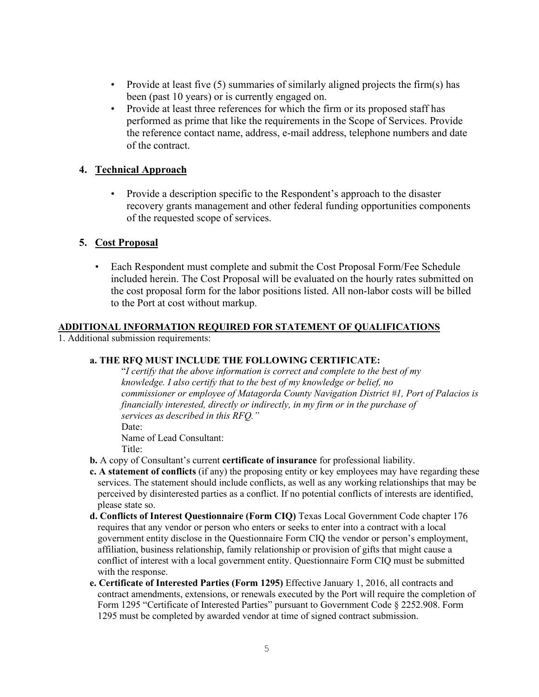- Provide at least five (5) summaries of similarly aligned projects the firm(s) has been (past 10 years) or is currently engaged on.
- Provide at least three references for which the firm or its proposed staff has performed as prime that like the requirements in the Scope of Services. Provide the reference contact name, address, e-mail address, telephone numbers and date of the contract.

#### **4. Technical Approach**

• Provide a description specific to the Respondent's approach to the disaster recovery grants management and other federal funding opportunities components of the requested scope of services.

#### **5. Cost Proposal**

• Each Respondent must complete and submit the Cost Proposal Form/Fee Schedule included herein. The Cost Proposal will be evaluated on the hourly rates submitted on the cost proposal form for the labor positions listed. All non-labor costs will be billed to the Port at cost without markup.

#### **ADDITIONAL INFORMATION REQUIRED FOR STATEMENT OF QUALIFICATIONS**

1. Additional submission requirements:

#### **a. THE RFQ MUST INCLUDE THE FOLLOWING CERTIFICATE:**

"*I certify that the above information is correct and complete to the best of my knowledge. I also certify that to the best of my knowledge or belief, no commissioner or employee of Matagorda County Navigation District #1, Port of Palacios is financially interested, directly or indirectly, in my firm or in the purchase of services as described in this RFQ."*

Date:

Name of Lead Consultant: Title:

- **b.** A copy of Consultant's current **certificate of insurance** for professional liability.
- **c. A statement of conflicts** (if any) the proposing entity or key employees may have regarding these services. The statement should include conflicts, as well as any working relationships that may be perceived by disinterested parties as a conflict. If no potential conflicts of interests are identified, please state so.
- **d. Conflicts of Interest Questionnaire (Form CIQ)** Texas Local Government Code chapter 176 requires that any vendor or person who enters or seeks to enter into a contract with a local government entity disclose in the Questionnaire Form CIQ the vendor or person's employment, affiliation, business relationship, family relationship or provision of gifts that might cause a conflict of interest with a local government entity. Questionnaire Form CIQ must be submitted with the response.
- **e. Certificate of Interested Parties (Form 1295)** Effective January 1, 2016, all contracts and contract amendments, extensions, or renewals executed by the Port will require the completion of Form 1295 "Certificate of Interested Parties" pursuant to Government Code § 2252.908. Form 1295 must be completed by awarded vendor at time of signed contract submission.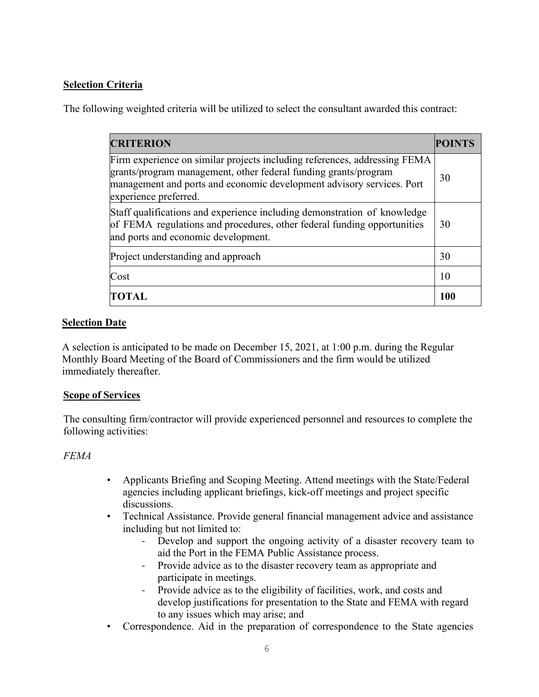# **Selection Criteria**

The following weighted criteria will be utilized to select the consultant awarded this contract:

| <b>CRITERION</b>                                                                                                                                                                                                                               |            |
|------------------------------------------------------------------------------------------------------------------------------------------------------------------------------------------------------------------------------------------------|------------|
| Firm experience on similar projects including references, addressing FEMA<br>grants/program management, other federal funding grants/program<br>management and ports and economic development advisory services. Port<br>experience preferred. | 30         |
| Staff qualifications and experience including demonstration of knowledge<br>of FEMA regulations and procedures, other federal funding opportunities<br>and ports and economic development.                                                     | 30         |
| Project understanding and approach                                                                                                                                                                                                             | 30         |
| Cost                                                                                                                                                                                                                                           | 10         |
| TOTAL                                                                                                                                                                                                                                          | <b>100</b> |

# **Selection Date**

A selection is anticipated to be made on December 15, 2021, at 1:00 p.m. during the Regular Monthly Board Meeting of the Board of Commissioners and the firm would be utilized immediately thereafter.

## **Scope of Services**

The consulting firm/contractor will provide experienced personnel and resources to complete the following activities:

# *FEMA*

- Applicants Briefing and Scoping Meeting. Attend meetings with the State/Federal agencies including applicant briefings, kick-off meetings and project specific discussions.
- Technical Assistance. Provide general financial management advice and assistance including but not limited to:
	- Develop and support the ongoing activity of a disaster recovery team to aid the Port in the FEMA Public Assistance process.
	- Provide advice as to the disaster recovery team as appropriate and participate in meetings.
	- Provide advice as to the eligibility of facilities, work, and costs and develop justifications for presentation to the State and FEMA with regard to any issues which may arise; and
- Correspondence. Aid in the preparation of correspondence to the State agencies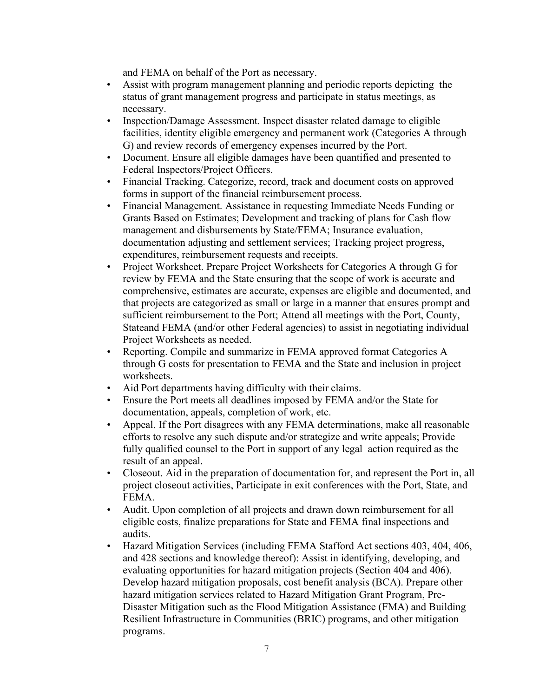and FEMA on behalf of the Port as necessary.

- Assist with program management planning and periodic reports depicting the status of grant management progress and participate in status meetings, as necessary.
- Inspection/Damage Assessment. Inspect disaster related damage to eligible facilities, identity eligible emergency and permanent work (Categories A through G) and review records of emergency expenses incurred by the Port.
- Document. Ensure all eligible damages have been quantified and presented to Federal Inspectors/Project Officers.
- Financial Tracking. Categorize, record, track and document costs on approved forms in support of the financial reimbursement process.
- Financial Management. Assistance in requesting Immediate Needs Funding or Grants Based on Estimates; Development and tracking of plans for Cash flow management and disbursements by State/FEMA; Insurance evaluation, documentation adjusting and settlement services; Tracking project progress, expenditures, reimbursement requests and receipts.
- Project Worksheet. Prepare Project Worksheets for Categories A through G for review by FEMA and the State ensuring that the scope of work is accurate and comprehensive, estimates are accurate, expenses are eligible and documented, and that projects are categorized as small or large in a manner that ensures prompt and sufficient reimbursement to the Port; Attend all meetings with the Port, County, Stateand FEMA (and/or other Federal agencies) to assist in negotiating individual Project Worksheets as needed.
- Reporting. Compile and summarize in FEMA approved format Categories A through G costs for presentation to FEMA and the State and inclusion in project worksheets.
- Aid Port departments having difficulty with their claims.
- Ensure the Port meets all deadlines imposed by FEMA and/or the State for documentation, appeals, completion of work, etc.
- Appeal. If the Port disagrees with any FEMA determinations, make all reasonable efforts to resolve any such dispute and/or strategize and write appeals; Provide fully qualified counsel to the Port in support of any legal action required as the result of an appeal.
- Closeout. Aid in the preparation of documentation for, and represent the Port in, all project closeout activities, Participate in exit conferences with the Port, State, and FEMA.
- Audit. Upon completion of all projects and drawn down reimbursement for all eligible costs, finalize preparations for State and FEMA final inspections and audits.
- Hazard Mitigation Services (including FEMA Stafford Act sections 403, 404, 406, and 428 sections and knowledge thereof): Assist in identifying, developing, and evaluating opportunities for hazard mitigation projects (Section 404 and 406). Develop hazard mitigation proposals, cost benefit analysis (BCA). Prepare other hazard mitigation services related to Hazard Mitigation Grant Program, Pre-Disaster Mitigation such as the Flood Mitigation Assistance (FMA) and Building Resilient Infrastructure in Communities (BRIC) programs, and other mitigation programs.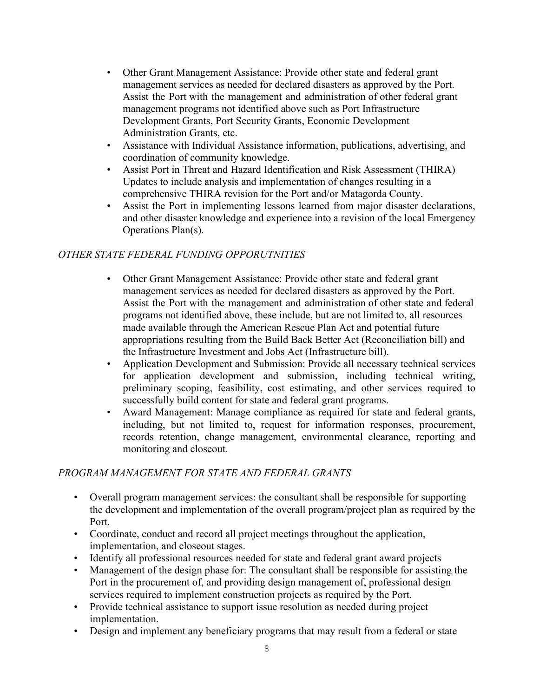- Other Grant Management Assistance: Provide other state and federal grant management services as needed for declared disasters as approved by the Port. Assist the Port with the management and administration of other federal grant management programs not identified above such as Port Infrastructure Development Grants, Port Security Grants, Economic Development Administration Grants, etc.
- Assistance with Individual Assistance information, publications, advertising, and coordination of community knowledge.
- Assist Port in Threat and Hazard Identification and Risk Assessment (THIRA) Updates to include analysis and implementation of changes resulting in a comprehensive THIRA revision for the Port and/or Matagorda County.
- Assist the Port in implementing lessons learned from major disaster declarations, and other disaster knowledge and experience into a revision of the local Emergency Operations Plan(s).

# *OTHER STATE FEDERAL FUNDING OPPORUTNITIES*

- Other Grant Management Assistance: Provide other state and federal grant management services as needed for declared disasters as approved by the Port. Assist the Port with the management and administration of other state and federal programs not identified above, these include, but are not limited to, all resources made available through the American Rescue Plan Act and potential future appropriations resulting from the Build Back Better Act (Reconciliation bill) and the Infrastructure Investment and Jobs Act (Infrastructure bill).
- Application Development and Submission: Provide all necessary technical services for application development and submission, including technical writing, preliminary scoping, feasibility, cost estimating, and other services required to successfully build content for state and federal grant programs.
- Award Management: Manage compliance as required for state and federal grants, including, but not limited to, request for information responses, procurement, records retention, change management, environmental clearance, reporting and monitoring and closeout.

## *PROGRAM MANAGEMENT FOR STATE AND FEDERAL GRANTS*

- Overall program management services: the consultant shall be responsible for supporting the development and implementation of the overall program/project plan as required by the Port.
- Coordinate, conduct and record all project meetings throughout the application, implementation, and closeout stages.
- Identify all professional resources needed for state and federal grant award projects
- Management of the design phase for: The consultant shall be responsible for assisting the Port in the procurement of, and providing design management of, professional design services required to implement construction projects as required by the Port.
- Provide technical assistance to support issue resolution as needed during project implementation.
- Design and implement any beneficiary programs that may result from a federal or state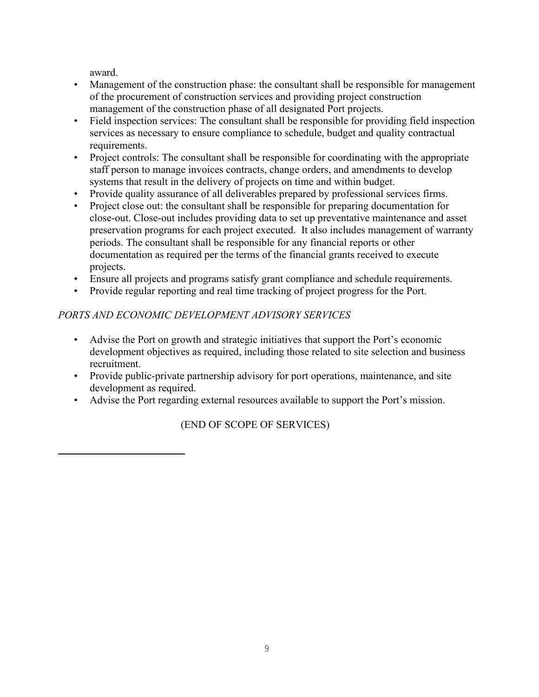award.

- Management of the construction phase: the consultant shall be responsible for management of the procurement of construction services and providing project construction management of the construction phase of all designated Port projects.
- Field inspection services: The consultant shall be responsible for providing field inspection services as necessary to ensure compliance to schedule, budget and quality contractual requirements.
- Project controls: The consultant shall be responsible for coordinating with the appropriate staff person to manage invoices contracts, change orders, and amendments to develop systems that result in the delivery of projects on time and within budget.
- Provide quality assurance of all deliverables prepared by professional services firms.
- Project close out: the consultant shall be responsible for preparing documentation for close-out. Close-out includes providing data to set up preventative maintenance and asset preservation programs for each project executed. It also includes management of warranty periods. The consultant shall be responsible for any financial reports or other documentation as required per the terms of the financial grants received to execute projects.
- Ensure all projects and programs satisfy grant compliance and schedule requirements.
- Provide regular reporting and real time tracking of project progress for the Port.

# *PORTS AND ECONOMIC DEVELOPMENT ADVISORY SERVICES*

- Advise the Port on growth and strategic initiatives that support the Port's economic development objectives as required, including those related to site selection and business recruitment.
- Provide public-private partnership advisory for port operations, maintenance, and site development as required.
- Advise the Port regarding external resources available to support the Port's mission.

(END OF SCOPE OF SERVICES)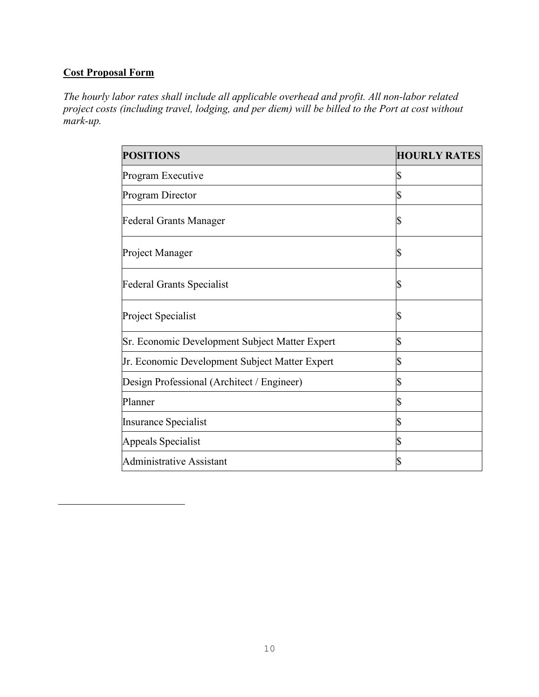# **Cost Proposal Form**

*The hourly labor rates shall include all applicable overhead and profit. All non-labor related project costs (including travel, lodging, and per diem) will be billed to the Port at cost without mark-up.*

| <b>POSITIONS</b>                               | <b>HOURLY RATES</b> |
|------------------------------------------------|---------------------|
| Program Executive                              | \$                  |
| Program Director                               | \$                  |
| Federal Grants Manager                         | \$                  |
| Project Manager                                | S                   |
| <b>Federal Grants Specialist</b>               | \$                  |
| Project Specialist                             | \$                  |
| Sr. Economic Development Subject Matter Expert | \$                  |
| Jr. Economic Development Subject Matter Expert | \$                  |
| Design Professional (Architect / Engineer)     | \$                  |
| Planner                                        | \$                  |
| Insurance Specialist                           | \$                  |
| Appeals Specialist                             | \$                  |
| <b>Administrative Assistant</b>                | \$                  |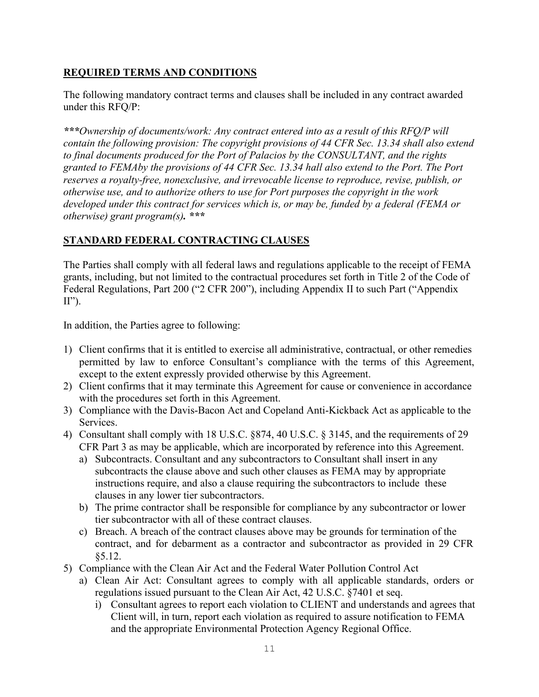# **REQUIRED TERMS AND CONDITIONS**

The following mandatory contract terms and clauses shall be included in any contract awarded under this RFQ/P:

*\*\*\*Ownership of documents/work: Any contract entered into as a result of this RFQ/P will contain the following provision: The copyright provisions of 44 CFR Sec. 13.34 shall also extend to final documents produced for the Port of Palacios by the CONSULTANT, and the rights granted to FEMAby the provisions of 44 CFR Sec. 13.34 hall also extend to the Port. The Port reserves a royalty-free, nonexclusive, and irrevocable license to reproduce, revise, publish, or otherwise use, and to authorize others to use for Port purposes the copyright in the work developed under this contract for services which is, or may be, funded by a federal (FEMA or otherwise) grant program(s). \*\*\**

# **STANDARD FEDERAL CONTRACTING CLAUSES**

The Parties shall comply with all federal laws and regulations applicable to the receipt of FEMA grants, including, but not limited to the contractual procedures set forth in Title 2 of the Code of Federal Regulations, Part 200 ("2 CFR 200"), including Appendix II to such Part ("Appendix  $II$ ").

In addition, the Parties agree to following:

- 1) Client confirms that it is entitled to exercise all administrative, contractual, or other remedies permitted by law to enforce Consultant's compliance with the terms of this Agreement, except to the extent expressly provided otherwise by this Agreement.
- 2) Client confirms that it may terminate this Agreement for cause or convenience in accordance with the procedures set forth in this Agreement.
- 3) Compliance with the Davis-Bacon Act and Copeland Anti-Kickback Act as applicable to the Services.
- 4) Consultant shall comply with 18 U.S.C. §874, 40 U.S.C. § 3145, and the requirements of 29 CFR Part 3 as may be applicable, which are incorporated by reference into this Agreement.
	- a) Subcontracts. Consultant and any subcontractors to Consultant shall insert in any subcontracts the clause above and such other clauses as FEMA may by appropriate instructions require, and also a clause requiring the subcontractors to include these clauses in any lower tier subcontractors.
	- b) The prime contractor shall be responsible for compliance by any subcontractor or lower tier subcontractor with all of these contract clauses.
	- c) Breach. A breach of the contract clauses above may be grounds for termination of the contract, and for debarment as a contractor and subcontractor as provided in 29 CFR §5.12.
- 5) Compliance with the Clean Air Act and the Federal Water Pollution Control Act
	- a) Clean Air Act: Consultant agrees to comply with all applicable standards, orders or regulations issued pursuant to the Clean Air Act, 42 U.S.C. §7401 et seq.
		- i) Consultant agrees to report each violation to CLIENT and understands and agrees that Client will, in turn, report each violation as required to assure notification to FEMA and the appropriate Environmental Protection Agency Regional Office.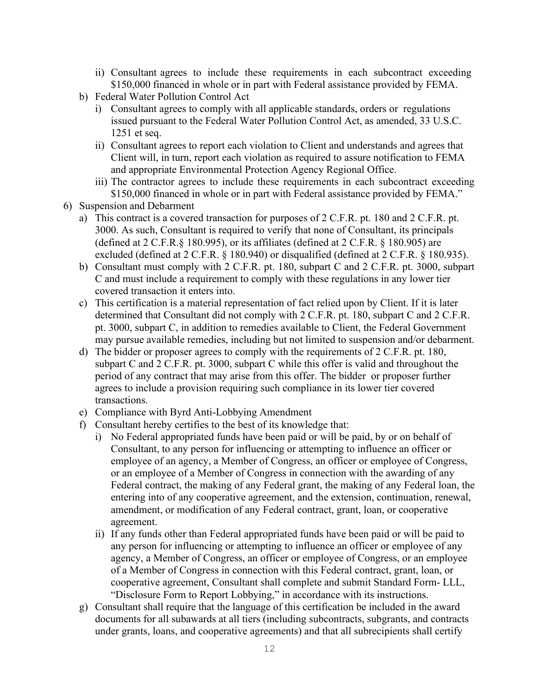- ii) Consultant agrees to include these requirements in each subcontract exceeding \$150,000 financed in whole or in part with Federal assistance provided by FEMA.
- b) Federal Water Pollution Control Act
	- i) Consultant agrees to comply with all applicable standards, orders or regulations issued pursuant to the Federal Water Pollution Control Act, as amended, 33 U.S.C. 1251 et seq.
	- ii) Consultant agrees to report each violation to Client and understands and agrees that Client will, in turn, report each violation as required to assure notification to FEMA and appropriate Environmental Protection Agency Regional Office.
	- iii) The contractor agrees to include these requirements in each subcontract exceeding \$150,000 financed in whole or in part with Federal assistance provided by FEMA."
- 6) Suspension and Debarment
	- a) This contract is a covered transaction for purposes of 2 C.F.R. pt. 180 and 2 C.F.R. pt. 3000. As such, Consultant is required to verify that none of Consultant, its principals (defined at 2 C.F.R.§ 180.995), or its affiliates (defined at 2 C.F.R. § 180.905) are excluded (defined at 2 C.F.R. § 180.940) or disqualified (defined at 2 C.F.R. § 180.935).
	- b) Consultant must comply with 2 C.F.R. pt. 180, subpart C and 2 C.F.R. pt. 3000, subpart C and must include a requirement to comply with these regulations in any lower tier covered transaction it enters into.
	- c) This certification is a material representation of fact relied upon by Client. If it is later determined that Consultant did not comply with 2 C.F.R. pt. 180, subpart C and 2 C.F.R. pt. 3000, subpart C, in addition to remedies available to Client, the Federal Government may pursue available remedies, including but not limited to suspension and/or debarment.
	- d) The bidder or proposer agrees to comply with the requirements of 2 C.F.R. pt. 180, subpart C and 2 C.F.R. pt. 3000, subpart C while this offer is valid and throughout the period of any contract that may arise from this offer. The bidder or proposer further agrees to include a provision requiring such compliance in its lower tier covered transactions.
	- e) Compliance with Byrd Anti-Lobbying Amendment
	- f) Consultant hereby certifies to the best of its knowledge that:
		- i) No Federal appropriated funds have been paid or will be paid, by or on behalf of Consultant, to any person for influencing or attempting to influence an officer or employee of an agency, a Member of Congress, an officer or employee of Congress, or an employee of a Member of Congress in connection with the awarding of any Federal contract, the making of any Federal grant, the making of any Federal loan, the entering into of any cooperative agreement, and the extension, continuation, renewal, amendment, or modification of any Federal contract, grant, loan, or cooperative agreement.
		- ii) If any funds other than Federal appropriated funds have been paid or will be paid to any person for influencing or attempting to influence an officer or employee of any agency, a Member of Congress, an officer or employee of Congress, or an employee of a Member of Congress in connection with this Federal contract, grant, loan, or cooperative agreement, Consultant shall complete and submit Standard Form- LLL, "Disclosure Form to Report Lobbying," in accordance with its instructions.
	- g) Consultant shall require that the language of this certification be included in the award documents for all subawards at all tiers (including subcontracts, subgrants, and contracts under grants, loans, and cooperative agreements) and that all subrecipients shall certify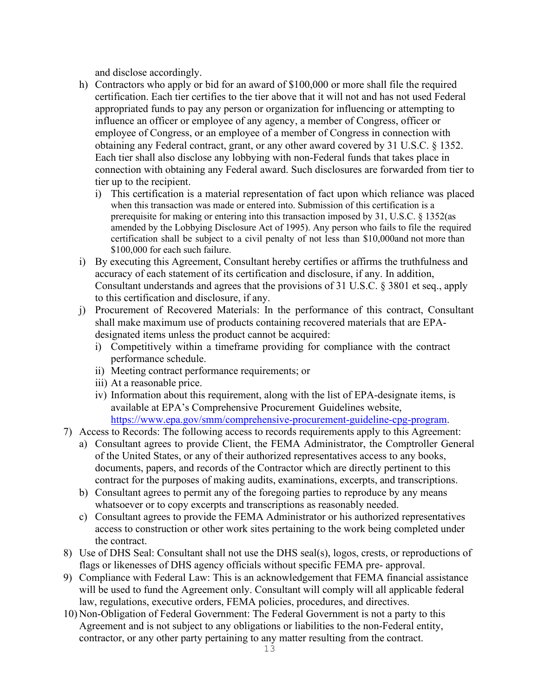and disclose accordingly.

- h) Contractors who apply or bid for an award of \$100,000 or more shall file the required certification. Each tier certifies to the tier above that it will not and has not used Federal appropriated funds to pay any person or organization for influencing or attempting to influence an officer or employee of any agency, a member of Congress, officer or employee of Congress, or an employee of a member of Congress in connection with obtaining any Federal contract, grant, or any other award covered by 31 U.S.C. § 1352. Each tier shall also disclose any lobbying with non-Federal funds that takes place in connection with obtaining any Federal award. Such disclosures are forwarded from tier to tier up to the recipient.
	- i) This certification is a material representation of fact upon which reliance was placed when this transaction was made or entered into. Submission of this certification is a prerequisite for making or entering into this transaction imposed by 31, U.S.C. § 1352(as amended by the Lobbying Disclosure Act of 1995). Any person who fails to file the required certification shall be subject to a civil penalty of not less than \$10,000and not more than \$100,000 for each such failure.
- i) By executing this Agreement, Consultant hereby certifies or affirms the truthfulness and accuracy of each statement of its certification and disclosure, if any. In addition, Consultant understands and agrees that the provisions of 31 U.S.C. § 3801 et seq., apply to this certification and disclosure, if any.
- j) Procurement of Recovered Materials: In the performance of this contract, Consultant shall make maximum use of products containing recovered materials that are EPAdesignated items unless the product cannot be acquired:
	- i) Competitively within a timeframe providing for compliance with the contract performance schedule.
	- ii) Meeting contract performance requirements; or
	- iii) At a reasonable price.
	- iv) Information about this requirement, along with the list of EPA-designate items, is available at EPA's Comprehensive Procurement Guidelines website, [https://www.epa.gov/smm/comprehensive-procurement-guideline-cpg-](http://www.epa.gov/smm/comprehensive-procurement-guideline-cpg-program)progra[m.](http://www.epa.gov/smm/comprehensive-procurement-guideline-cpg-program)
- 7) Access to Records: The following access to records requirements apply to this Agreement:
	- a) Consultant agrees to provide Client, the FEMA Administrator, the Comptroller General of the United States, or any of their authorized representatives access to any books, documents, papers, and records of the Contractor which are directly pertinent to this contract for the purposes of making audits, examinations, excerpts, and transcriptions.
	- b) Consultant agrees to permit any of the foregoing parties to reproduce by any means whatsoever or to copy excerpts and transcriptions as reasonably needed.
	- c) Consultant agrees to provide the FEMA Administrator or his authorized representatives access to construction or other work sites pertaining to the work being completed under the contract.
- 8) Use of DHS Seal: Consultant shall not use the DHS seal(s), logos, crests, or reproductions of flags or likenesses of DHS agency officials without specific FEMA pre- approval.
- 9) Compliance with Federal Law: This is an acknowledgement that FEMA financial assistance will be used to fund the Agreement only. Consultant will comply will all applicable federal law, regulations, executive orders, FEMA policies, procedures, and directives.
- 10) Non-Obligation of Federal Government: The Federal Government is not a party to this Agreement and is not subject to any obligations or liabilities to the non-Federal entity, contractor, or any other party pertaining to any matter resulting from the contract.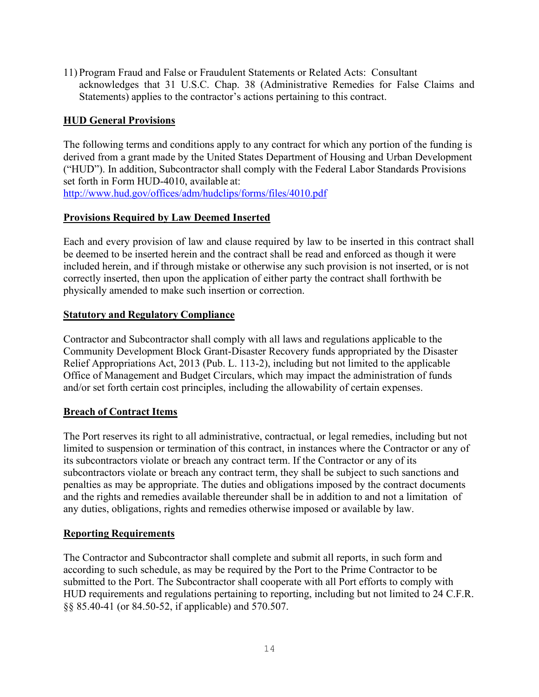11) Program Fraud and False or Fraudulent Statements or Related Acts: Consultant acknowledges that 31 U.S.C. Chap. 38 (Administrative Remedies for False Claims and Statements) applies to the contractor's actions pertaining to this contract.

# **HUD General Provisions**

The following terms and conditions apply to any contract for which any portion of the funding is derived from a grant made by the United States Department of Housing and Urban Development ("HUD"). In addition, Subcontractor shall comply with the Federal Labor Standards Provisions set forth in Form HUD-4010, available at: <http://www.hud.gov/offices/adm/hudclips/forms/files/4010.pdf>

## **Provisions Required by Law Deemed Inserted**

Each and every provision of law and clause required by law to be inserted in this contract shall be deemed to be inserted herein and the contract shall be read and enforced as though it were included herein, and if through mistake or otherwise any such provision is not inserted, or is not correctly inserted, then upon the application of either party the contract shall forthwith be physically amended to make such insertion or correction.

#### **Statutory and Regulatory Compliance**

Contractor and Subcontractor shall comply with all laws and regulations applicable to the Community Development Block Grant-Disaster Recovery funds appropriated by the Disaster Relief Appropriations Act, 2013 (Pub. L. 113-2), including but not limited to the applicable Office of Management and Budget Circulars, which may impact the administration of funds and/or set forth certain cost principles, including the allowability of certain expenses.

#### **Breach of Contract Items**

The Port reserves its right to all administrative, contractual, or legal remedies, including but not limited to suspension or termination of this contract, in instances where the Contractor or any of its subcontractors violate or breach any contract term. If the Contractor or any of its subcontractors violate or breach any contract term, they shall be subject to such sanctions and penalties as may be appropriate. The duties and obligations imposed by the contract documents and the rights and remedies available thereunder shall be in addition to and not a limitation of any duties, obligations, rights and remedies otherwise imposed or available by law.

#### **Reporting Requirements**

The Contractor and Subcontractor shall complete and submit all reports, in such form and according to such schedule, as may be required by the Port to the Prime Contractor to be submitted to the Port. The Subcontractor shall cooperate with all Port efforts to comply with HUD requirements and regulations pertaining to reporting, including but not limited to 24 C.F.R. §§ 85.40-41 (or 84.50-52, if applicable) and 570.507.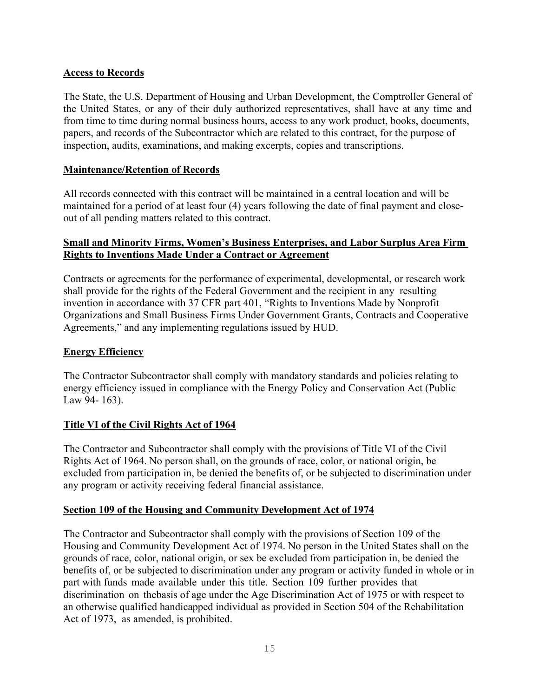## **Access to Records**

The State, the U.S. Department of Housing and Urban Development, the Comptroller General of the United States, or any of their duly authorized representatives, shall have at any time and from time to time during normal business hours, access to any work product, books, documents, papers, and records of the Subcontractor which are related to this contract, for the purpose of inspection, audits, examinations, and making excerpts, copies and transcriptions.

## **Maintenance/Retention of Records**

All records connected with this contract will be maintained in a central location and will be maintained for a period of at least four (4) years following the date of final payment and closeout of all pending matters related to this contract.

## **Small and Minority Firms, Women's Business Enterprises, and Labor Surplus Area Firm Rights to Inventions Made Under a Contract or Agreement**

Contracts or agreements for the performance of experimental, developmental, or research work shall provide for the rights of the Federal Government and the recipient in any resulting invention in accordance with 37 CFR part 401, "Rights to Inventions Made by Nonprofit Organizations and Small Business Firms Under Government Grants, Contracts and Cooperative Agreements," and any implementing regulations issued by HUD.

## **Energy Efficiency**

The Contractor Subcontractor shall comply with mandatory standards and policies relating to energy efficiency issued in compliance with the Energy Policy and Conservation Act (Public Law 94- 163).

## **Title VI of the Civil Rights Act of 1964**

The Contractor and Subcontractor shall comply with the provisions of Title VI of the Civil Rights Act of 1964. No person shall, on the grounds of race, color, or national origin, be excluded from participation in, be denied the benefits of, or be subjected to discrimination under any program or activity receiving federal financial assistance.

## **Section 109 of the Housing and Community Development Act of 1974**

The Contractor and Subcontractor shall comply with the provisions of Section 109 of the Housing and Community Development Act of 1974. No person in the United States shall on the grounds of race, color, national origin, or sex be excluded from participation in, be denied the benefits of, or be subjected to discrimination under any program or activity funded in whole or in part with funds made available under this title. Section 109 further provides that discrimination on thebasis of age under the Age Discrimination Act of 1975 or with respect to an otherwise qualified handicapped individual as provided in Section 504 of the Rehabilitation Act of 1973, as amended, is prohibited.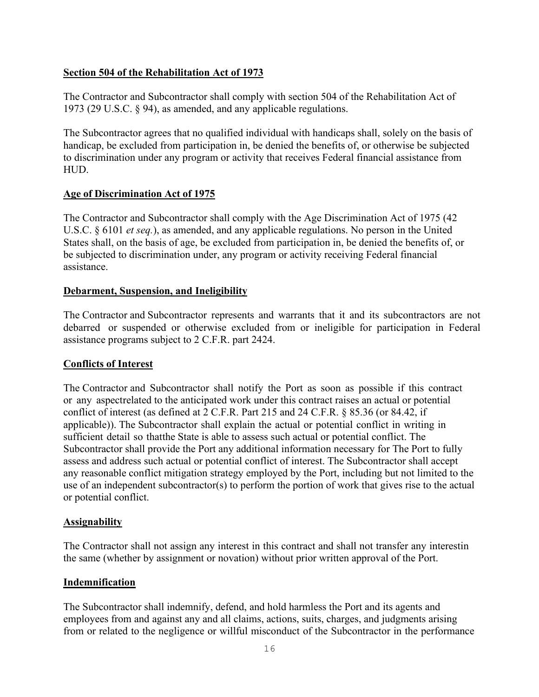## **Section 504 of the Rehabilitation Act of 1973**

The Contractor and Subcontractor shall comply with section 504 of the Rehabilitation Act of 1973 (29 U.S.C. § 94), as amended, and any applicable regulations.

The Subcontractor agrees that no qualified individual with handicaps shall, solely on the basis of handicap, be excluded from participation in, be denied the benefits of, or otherwise be subjected to discrimination under any program or activity that receives Federal financial assistance from HUD.

#### **Age of Discrimination Act of 1975**

The Contractor and Subcontractor shall comply with the Age Discrimination Act of 1975 (42 U.S.C. § 6101 *et seq.*), as amended, and any applicable regulations. No person in the United States shall, on the basis of age, be excluded from participation in, be denied the benefits of, or be subjected to discrimination under, any program or activity receiving Federal financial assistance.

#### **Debarment, Suspension, and Ineligibility**

The Contractor and Subcontractor represents and warrants that it and its subcontractors are not debarred or suspended or otherwise excluded from or ineligible for participation in Federal assistance programs subject to 2 C.F.R. part 2424.

#### **Conflicts of Interest**

The Contractor and Subcontractor shall notify the Port as soon as possible if this contract or any aspectrelated to the anticipated work under this contract raises an actual or potential conflict of interest (as defined at 2 C.F.R. Part 215 and 24 C.F.R. § 85.36 (or 84.42, if applicable)). The Subcontractor shall explain the actual or potential conflict in writing in sufficient detail so thatthe State is able to assess such actual or potential conflict. The Subcontractor shall provide the Port any additional information necessary for The Port to fully assess and address such actual or potential conflict of interest. The Subcontractor shall accept any reasonable conflict mitigation strategy employed by the Port, including but not limited to the use of an independent subcontractor(s) to perform the portion of work that gives rise to the actual or potential conflict.

#### **Assignability**

The Contractor shall not assign any interest in this contract and shall not transfer any interestin the same (whether by assignment or novation) without prior written approval of the Port.

#### **Indemnification**

The Subcontractor shall indemnify, defend, and hold harmless the Port and its agents and employees from and against any and all claims, actions, suits, charges, and judgments arising from or related to the negligence or willful misconduct of the Subcontractor in the performance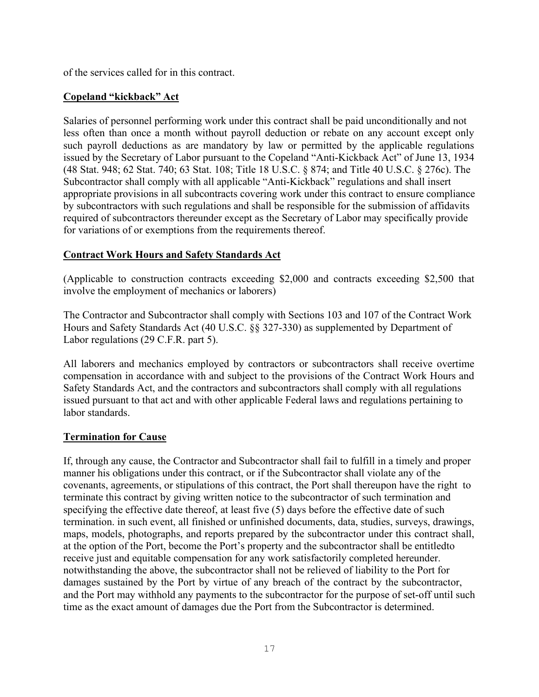of the services called for in this contract.

## **Copeland "kickback" Act**

Salaries of personnel performing work under this contract shall be paid unconditionally and not less often than once a month without payroll deduction or rebate on any account except only such payroll deductions as are mandatory by law or permitted by the applicable regulations issued by the Secretary of Labor pursuant to the Copeland "Anti-Kickback Act" of June 13, 1934 (48 Stat. 948; 62 Stat. 740; 63 Stat. 108; Title 18 U.S.C. § 874; and Title 40 U.S.C. § 276c). The Subcontractor shall comply with all applicable "Anti-Kickback" regulations and shall insert appropriate provisions in all subcontracts covering work under this contract to ensure compliance by subcontractors with such regulations and shall be responsible for the submission of affidavits required of subcontractors thereunder except as the Secretary of Labor may specifically provide for variations of or exemptions from the requirements thereof.

#### **Contract Work Hours and Safety Standards Act**

(Applicable to construction contracts exceeding \$2,000 and contracts exceeding \$2,500 that involve the employment of mechanics or laborers)

The Contractor and Subcontractor shall comply with Sections 103 and 107 of the Contract Work Hours and Safety Standards Act (40 U.S.C. §§ 327-330) as supplemented by Department of Labor regulations (29 C.F.R. part 5).

All laborers and mechanics employed by contractors or subcontractors shall receive overtime compensation in accordance with and subject to the provisions of the Contract Work Hours and Safety Standards Act, and the contractors and subcontractors shall comply with all regulations issued pursuant to that act and with other applicable Federal laws and regulations pertaining to labor standards.

#### **Termination for Cause**

If, through any cause, the Contractor and Subcontractor shall fail to fulfill in a timely and proper manner his obligations under this contract, or if the Subcontractor shall violate any of the covenants, agreements, or stipulations of this contract, the Port shall thereupon have the right to terminate this contract by giving written notice to the subcontractor of such termination and specifying the effective date thereof, at least five (5) days before the effective date of such termination. in such event, all finished or unfinished documents, data, studies, surveys, drawings, maps, models, photographs, and reports prepared by the subcontractor under this contract shall, at the option of the Port, become the Port's property and the subcontractor shall be entitledto receive just and equitable compensation for any work satisfactorily completed hereunder. notwithstanding the above, the subcontractor shall not be relieved of liability to the Port for damages sustained by the Port by virtue of any breach of the contract by the subcontractor, and the Port may withhold any payments to the subcontractor for the purpose of set-off until such time as the exact amount of damages due the Port from the Subcontractor is determined.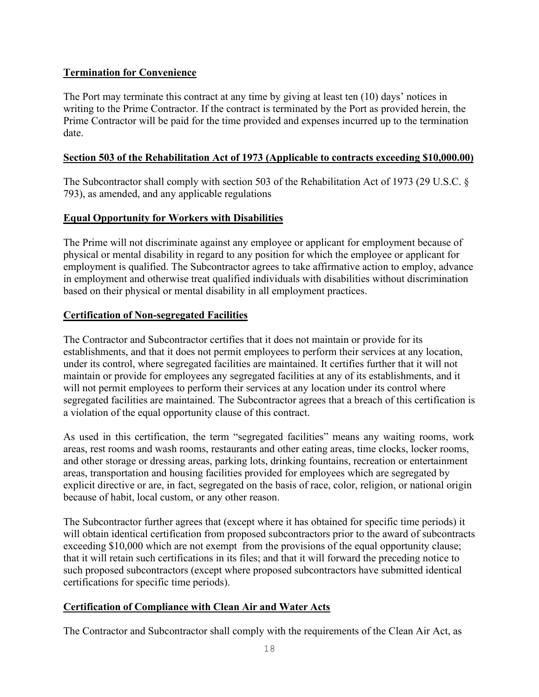# **Termination for Convenience**

The Port may terminate this contract at any time by giving at least ten (10) days' notices in writing to the Prime Contractor. If the contract is terminated by the Port as provided herein, the Prime Contractor will be paid for the time provided and expenses incurred up to the termination date.

#### **Section 503 of the Rehabilitation Act of 1973 (Applicable to contracts exceeding \$10,000.00)**

The Subcontractor shall comply with section 503 of the Rehabilitation Act of 1973 (29 U.S.C. § 793), as amended, and any applicable regulations

## **Equal Opportunity for Workers with Disabilities**

The Prime will not discriminate against any employee or applicant for employment because of physical or mental disability in regard to any position for which the employee or applicant for employment is qualified. The Subcontractor agrees to take affirmative action to employ, advance in employment and otherwise treat qualified individuals with disabilities without discrimination based on their physical or mental disability in all employment practices.

# **Certification of Non-segregated Facilities**

The Contractor and Subcontractor certifies that it does not maintain or provide for its establishments, and that it does not permit employees to perform their services at any location, under its control, where segregated facilities are maintained. It certifies further that it will not maintain or provide for employees any segregated facilities at any of its establishments, and it will not permit employees to perform their services at any location under its control where segregated facilities are maintained. The Subcontractor agrees that a breach of this certification is a violation of the equal opportunity clause of this contract.

As used in this certification, the term "segregated facilities" means any waiting rooms, work areas, rest rooms and wash rooms, restaurants and other eating areas, time clocks, locker rooms, and other storage or dressing areas, parking lots, drinking fountains, recreation or entertainment areas, transportation and housing facilities provided for employees which are segregated by explicit directive or are, in fact, segregated on the basis of race, color, religion, or national origin because of habit, local custom, or any other reason.

The Subcontractor further agrees that (except where it has obtained for specific time periods) it will obtain identical certification from proposed subcontractors prior to the award of subcontracts exceeding \$10,000 which are not exempt from the provisions of the equal opportunity clause; that it will retain such certifications in its files; and that it will forward the preceding notice to such proposed subcontractors (except where proposed subcontractors have submitted identical certifications for specific time periods).

# **Certification of Compliance with Clean Air and Water Acts**

The Contractor and Subcontractor shall comply with the requirements of the Clean Air Act, as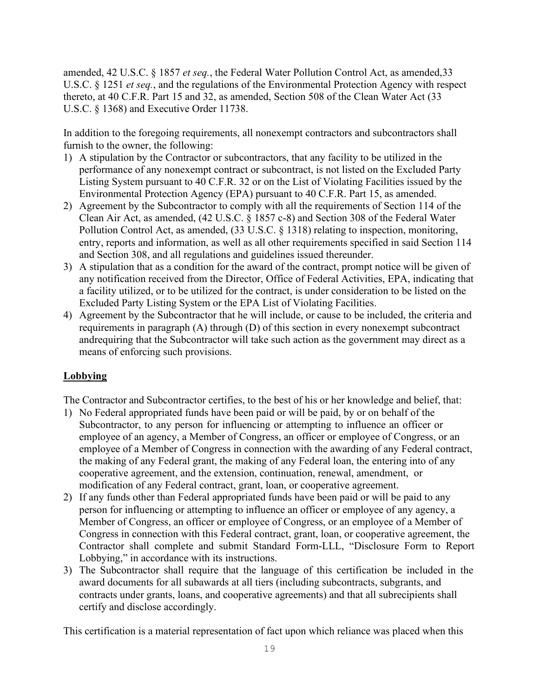amended, 42 U.S.C. § 1857 *et seq.*, the Federal Water Pollution Control Act, as amended,33 U.S.C. § 1251 *et seq.*, and the regulations of the Environmental Protection Agency with respect thereto, at 40 C.F.R. Part 15 and 32, as amended, Section 508 of the Clean Water Act (33 U.S.C. § 1368) and Executive Order 11738.

In addition to the foregoing requirements, all nonexempt contractors and subcontractors shall furnish to the owner, the following:

- 1) A stipulation by the Contractor or subcontractors, that any facility to be utilized in the performance of any nonexempt contract or subcontract, is not listed on the Excluded Party Listing System pursuant to 40 C.F.R. 32 or on the List of Violating Facilities issued by the Environmental Protection Agency (EPA) pursuant to 40 C.F.R. Part 15, as amended.
- 2) Agreement by the Subcontractor to comply with all the requirements of Section 114 of the Clean Air Act, as amended, (42 U.S.C. § 1857 c-8) and Section 308 of the Federal Water Pollution Control Act, as amended, (33 U.S.C. § 1318) relating to inspection, monitoring, entry, reports and information, as well as all other requirements specified in said Section 114 and Section 308, and all regulations and guidelines issued thereunder.
- 3) A stipulation that as a condition for the award of the contract, prompt notice will be given of any notification received from the Director, Office of Federal Activities, EPA, indicating that a facility utilized, or to be utilized for the contract, is under consideration to be listed on the Excluded Party Listing System or the EPA List of Violating Facilities.
- 4) Agreement by the Subcontractor that he will include, or cause to be included, the criteria and requirements in paragraph (A) through (D) of this section in every nonexempt subcontract andrequiring that the Subcontractor will take such action as the government may direct as a means of enforcing such provisions.

## **Lobbying**

The Contractor and Subcontractor certifies, to the best of his or her knowledge and belief, that:

- 1) No Federal appropriated funds have been paid or will be paid, by or on behalf of the Subcontractor, to any person for influencing or attempting to influence an officer or employee of an agency, a Member of Congress, an officer or employee of Congress, or an employee of a Member of Congress in connection with the awarding of any Federal contract, the making of any Federal grant, the making of any Federal loan, the entering into of any cooperative agreement, and the extension, continuation, renewal, amendment, or modification of any Federal contract, grant, loan, or cooperative agreement.
- 2) If any funds other than Federal appropriated funds have been paid or will be paid to any person for influencing or attempting to influence an officer or employee of any agency, a Member of Congress, an officer or employee of Congress, or an employee of a Member of Congress in connection with this Federal contract, grant, loan, or cooperative agreement, the Contractor shall complete and submit Standard Form-LLL, "Disclosure Form to Report Lobbying," in accordance with its instructions.
- 3) The Subcontractor shall require that the language of this certification be included in the award documents for all subawards at all tiers (including subcontracts, subgrants, and contracts under grants, loans, and cooperative agreements) and that all subrecipients shall certify and disclose accordingly.

This certification is a material representation of fact upon which reliance was placed when this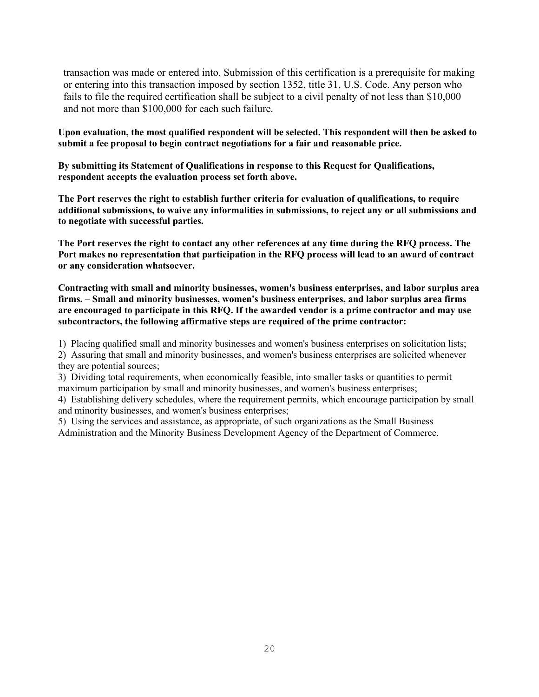transaction was made or entered into. Submission of this certification is a prerequisite for making or entering into this transaction imposed by section 1352, title 31, U.S. Code. Any person who fails to file the required certification shall be subject to a civil penalty of not less than \$10,000 and not more than \$100,000 for each such failure.

**Upon evaluation, the most qualified respondent will be selected. This respondent will then be asked to submit a fee proposal to begin contract negotiations for a fair and reasonable price.**

**By submitting its Statement of Qualifications in response to this Request for Qualifications, respondent accepts the evaluation process set forth above.**

**The Port reserves the right to establish further criteria for evaluation of qualifications, to require additional submissions, to waive any informalities in submissions, to reject any or all submissions and to negotiate with successful parties.**

**The Port reserves the right to contact any other references at any time during the RFQ process. The Port makes no representation that participation in the RFQ process will lead to an award of contract or any consideration whatsoever.**

**Contracting with small and minority businesses, women's business enterprises, and labor surplus area firms. – Small and minority businesses, women's business enterprises, and labor surplus area firms are encouraged to participate in this RFQ. If the awarded vendor is a prime contractor and may use subcontractors, the following affirmative steps are required of the prime contractor:**

1) Placing qualified small and minority businesses and women's business enterprises on solicitation lists;

2) Assuring that small and minority businesses, and women's business enterprises are solicited whenever they are potential sources;

3) Dividing total requirements, when economically feasible, into smaller tasks or quantities to permit maximum participation by small and minority businesses, and women's business enterprises;

4) Establishing delivery schedules, where the requirement permits, which encourage participation by small and minority businesses, and women's business enterprises;

5) Using the services and assistance, as appropriate, of such organizations as the Small Business Administration and the Minority Business Development Agency of the Department of Commerce.